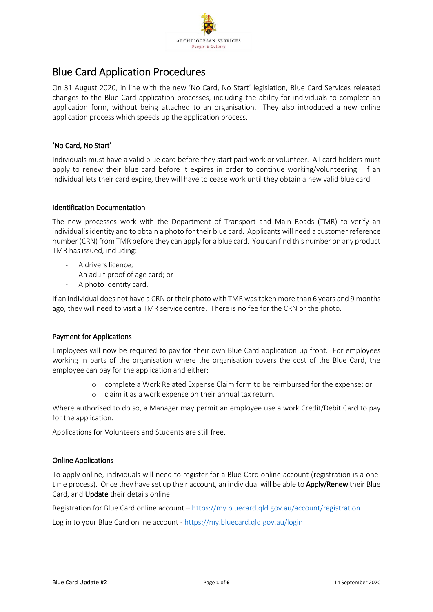

## Blue Card Application Procedures

On 31 August 2020, in line with the new 'No Card, No Start' legislation, Blue Card Services released changes to the Blue Card application processes, including the ability for individuals to complete an application form, without being attached to an organisation. They also introduced a new online application process which speeds up the application process.

### 'No Card, No Start'

Individuals must have a valid blue card before they start paid work or volunteer. All card holders must apply to renew their blue card before it expires in order to continue working/volunteering. If an individual lets their card expire, they will have to cease work until they obtain a new valid blue card.

### Identification Documentation

The new processes work with the Department of Transport and Main Roads (TMR) to verify an individual's identity and to obtain a photo for their blue card. Applicants will need a customer reference number (CRN) from TMR before they can apply for a blue card. You can find this number on any product TMR has issued, including:

- A drivers licence;
- An adult proof of age card; or
- A photo identity card.

If an individual does not have a CRN or their photo with TMR was taken more than 6 years and 9 months ago, they will need to visit a TMR service centre. There is no fee for the CRN or the photo.

### Payment for Applications

Employees will now be required to pay for their own Blue Card application up front. For employees working in parts of the organisation where the organisation covers the cost of the Blue Card, the employee can pay for the application and either:

- o complete a Work Related Expense Claim form to be reimbursed for the expense; or
- o claim it as a work expense on their annual tax return.

Where authorised to do so, a Manager may permit an employee use a work Credit/Debit Card to pay for the application.

Applications for Volunteers and Students are still free.

### Online Applications

To apply online, individuals will need to register for a Blue Card online account (registration is a onetime process). Once they have set up their account, an individual will be able to **Apply/Renew** their Blue Card, and Update their details online.

Registration for Blue Card online account – <https://my.bluecard.qld.gov.au/account/registration>

Log in to your Blue Card online account - <https://my.bluecard.qld.gov.au/login>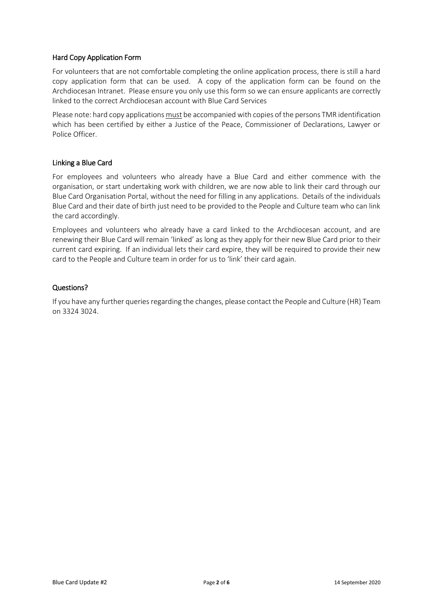### Hard Copy Application Form

For volunteers that are not comfortable completing the online application process, there is still a hard copy application form that can be used. A copy of the application form can be found on the Archdiocesan Intranet. Please ensure you only use this form so we can ensure applicants are correctly linked to the correct Archdiocesan account with Blue Card Services

Please note: hard copy applications must be accompanied with copies of the persons TMR identification which has been certified by either a Justice of the Peace, Commissioner of Declarations, Lawyer or Police Officer.

### Linking a Blue Card

For employees and volunteers who already have a Blue Card and either commence with the organisation, or start undertaking work with children, we are now able to link their card through our Blue Card Organisation Portal, without the need for filling in any applications. Details of the individuals Blue Card and their date of birth just need to be provided to the People and Culture team who can link the card accordingly.

Employees and volunteers who already have a card linked to the Archdiocesan account, and are renewing their Blue Card will remain 'linked' as long as they apply for their new Blue Card prior to their current card expiring. If an individual lets their card expire, they will be required to provide their new card to the People and Culture team in order for us to 'link' their card again.

### Questions?

If you have any further queries regarding the changes, please contact the People and Culture (HR) Team on 3324 3024.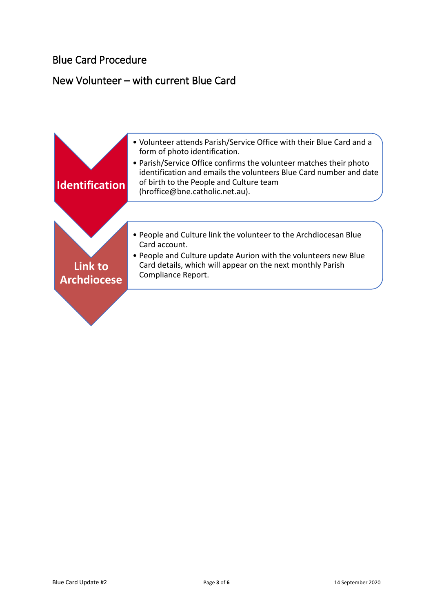## New Volunteer – with current Blue Card

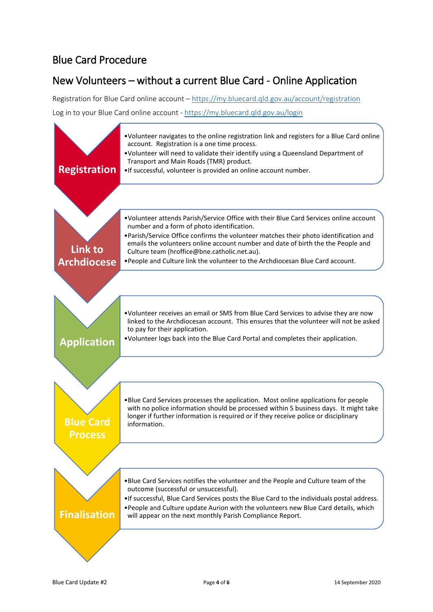# New Volunteers – without a current Blue Card - Online Application

Registration for Blue Card online account – <https://my.bluecard.qld.gov.au/account/registration> Log in to your Blue Card online account - <https://my.bluecard.qld.gov.au/login>

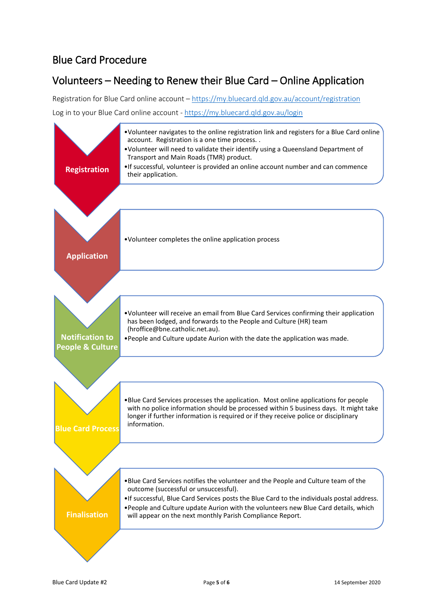# Volunteers – Needing to Renew their Blue Card – Online Application

Registration for Blue Card online account – <https://my.bluecard.qld.gov.au/account/registration> Log in to your Blue Card online account - <https://my.bluecard.qld.gov.au/login>